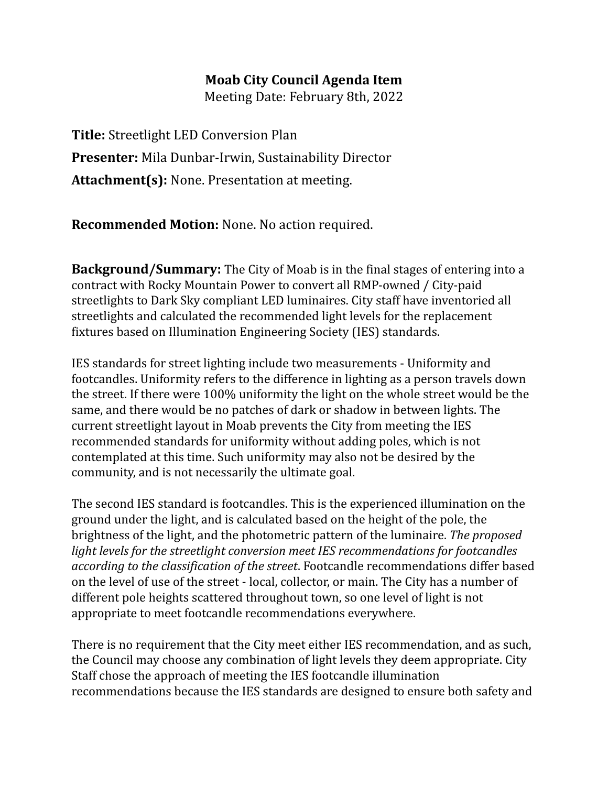## **Moab City Council Agenda Item**

Meeting Date: February 8th, 2022

**Title:** Streetlight LED Conversion Plan **Presenter:** Mila Dunbar-Irwin, Sustainability Director **Attachment(s):** None. Presentation at meeting.

**Recommended Motion:** None. No action required.

**Background/Summary:** The City of Moab is in the final stages of entering into a contract with Rocky Mountain Power to convert all RMP-owned / City-paid streetlights to Dark Sky compliant LED luminaires. City staff have inventoried all streetlights and calculated the recommended light levels for the replacement fixtures based on Illumination Engineering Society (IES) standards.

IES standards for street lighting include two measurements - Uniformity and footcandles. Uniformity refers to the difference in lighting as a person travels down the street. If there were 100% uniformity the light on the whole street would be the same, and there would be no patches of dark or shadow in between lights. The current streetlight layout in Moab prevents the City from meeting the IES recommended standards for uniformity without adding poles, which is not contemplated at this time. Such uniformity may also not be desired by the community, and is not necessarily the ultimate goal.

The second IES standard is footcandles. This is the experienced illumination on the ground under the light, and is calculated based on the height of the pole, the brightness of the light, and the photometric pattern of the luminaire. *The proposed light levels for the streetlight conversion meet IES recommendations for footcandles according to the classification of the street*. Footcandle recommendations differ based on the level of use of the street - local, collector, or main. The City has a number of different pole heights scattered throughout town, so one level of light is not appropriate to meet footcandle recommendations everywhere.

There is no requirement that the City meet either IES recommendation, and as such, the Council may choose any combination of light levels they deem appropriate. City Staff chose the approach of meeting the IES footcandle illumination recommendations because the IES standards are designed to ensure both safety and